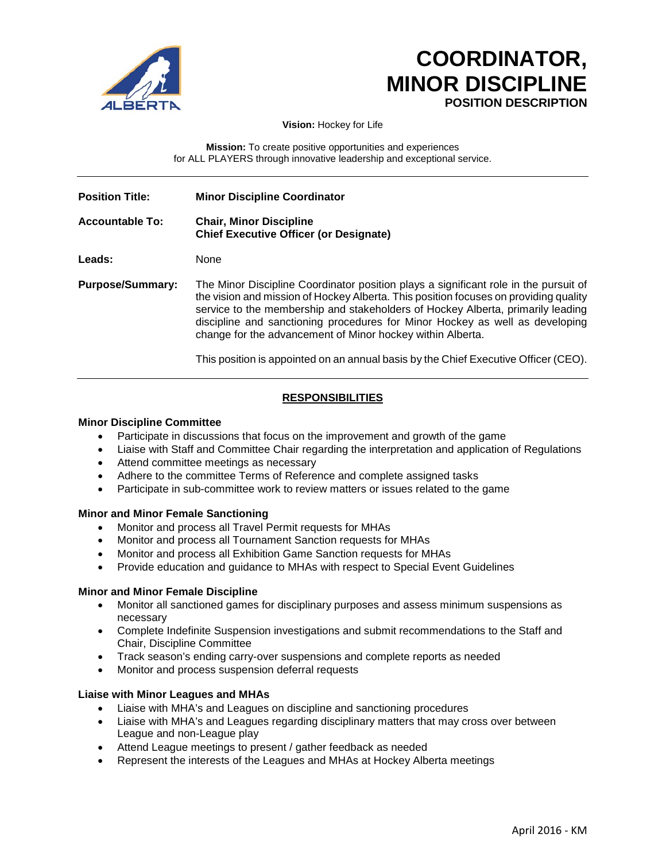

# **COORDINATOR, MINOR DISCIPLINE POSITION DESCRIPTION**

**Vision:** Hockey for Life

**Mission:** To create positive opportunities and experiences for ALL PLAYERS through innovative leadership and exceptional service.

| <b>Position Title:</b>  | <b>Minor Discipline Coordinator</b>                                                                                                                                                                                                                                                                                                                                                                           |
|-------------------------|---------------------------------------------------------------------------------------------------------------------------------------------------------------------------------------------------------------------------------------------------------------------------------------------------------------------------------------------------------------------------------------------------------------|
| <b>Accountable To:</b>  | <b>Chair, Minor Discipline</b><br><b>Chief Executive Officer (or Designate)</b>                                                                                                                                                                                                                                                                                                                               |
| Leads:                  | None                                                                                                                                                                                                                                                                                                                                                                                                          |
| <b>Purpose/Summary:</b> | The Minor Discipline Coordinator position plays a significant role in the pursuit of<br>the vision and mission of Hockey Alberta. This position focuses on providing quality<br>service to the membership and stakeholders of Hockey Alberta, primarily leading<br>discipline and sanctioning procedures for Minor Hockey as well as developing<br>change for the advancement of Minor hockey within Alberta. |
|                         | This position is appointed on an annual basis by the Chief Executive Officer (CEO).                                                                                                                                                                                                                                                                                                                           |

# **RESPONSIBILITIES**

# **Minor Discipline Committee**

- Participate in discussions that focus on the improvement and growth of the game
- Liaise with Staff and Committee Chair regarding the interpretation and application of Regulations
- Attend committee meetings as necessary
- Adhere to the committee Terms of Reference and complete assigned tasks
- Participate in sub-committee work to review matters or issues related to the game

### **Minor and Minor Female Sanctioning**

- Monitor and process all Travel Permit requests for MHAs
- Monitor and process all Tournament Sanction requests for MHAs
- Monitor and process all Exhibition Game Sanction requests for MHAs
- Provide education and guidance to MHAs with respect to Special Event Guidelines

### **Minor and Minor Female Discipline**

- Monitor all sanctioned games for disciplinary purposes and assess minimum suspensions as necessary
- Complete Indefinite Suspension investigations and submit recommendations to the Staff and Chair, Discipline Committee
- Track season's ending carry-over suspensions and complete reports as needed
- Monitor and process suspension deferral requests

### **Liaise with Minor Leagues and MHAs**

- Liaise with MHA's and Leagues on discipline and sanctioning procedures
- Liaise with MHA's and Leagues regarding disciplinary matters that may cross over between League and non-League play
- Attend League meetings to present / gather feedback as needed
- Represent the interests of the Leagues and MHAs at Hockey Alberta meetings